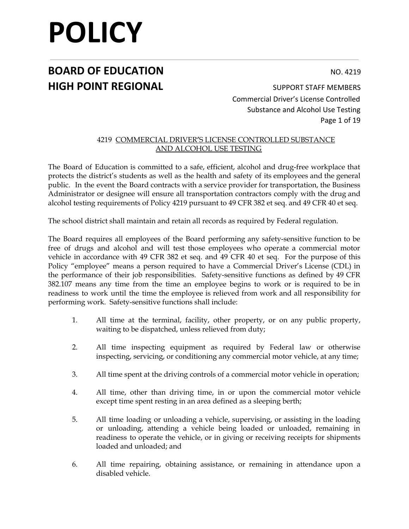## **BOARD OF EDUCATION** NO. 4219 **HIGH POINT REGIONAL** SUPPORT STAFF MEMBERS

Commercial Driver's License Controlled Substance and Alcohol Use Testing Page 1 of 19

#### 4219 COMMERCIAL DRIVER**'**S LICENSE CONTROLLED SUBSTANCE AND ALCOHOL USE TESTING

The Board of Education is committed to a safe, efficient, alcohol and drug-free workplace that protects the district's students as well as the health and safety of its employees and the general public. In the event the Board contracts with a service provider for transportation, the Business Administrator or designee will ensure all transportation contractors comply with the drug and alcohol testing requirements of Policy 4219 pursuant to 49 CFR 382 et seq. and 49 CFR 40 et seq.

The school district shall maintain and retain all records as required by Federal regulation.

The Board requires all employees of the Board performing any safety-sensitive function to be free of drugs and alcohol and will test those employees who operate a commercial motor vehicle in accordance with 49 CFR 382 et seq. and 49 CFR 40 et seq. For the purpose of this Policy "employee" means a person required to have a Commercial Driver's License (CDL) in the performance of their job responsibilities. Safety-sensitive functions as defined by 49 CFR 382.107 means any time from the time an employee begins to work or is required to be in readiness to work until the time the employee is relieved from work and all responsibility for performing work. Safety-sensitive functions shall include:

- 1. All time at the terminal, facility, other property, or on any public property, waiting to be dispatched, unless relieved from duty;
- 2. All time inspecting equipment as required by Federal law or otherwise inspecting, servicing, or conditioning any commercial motor vehicle, at any time;
- 3. All time spent at the driving controls of a commercial motor vehicle in operation;
- 4. All time, other than driving time, in or upon the commercial motor vehicle except time spent resting in an area defined as a sleeping berth;
- 5. All time loading or unloading a vehicle, supervising, or assisting in the loading or unloading, attending a vehicle being loaded or unloaded, remaining in readiness to operate the vehicle, or in giving or receiving receipts for shipments loaded and unloaded; and
- 6. All time repairing, obtaining assistance, or remaining in attendance upon a disabled vehicle.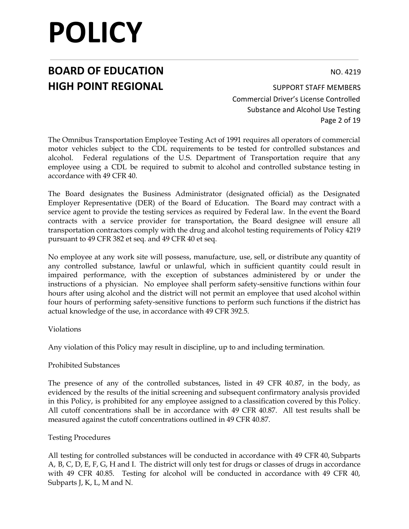## **BOARD OF EDUCATION** NO. 4219 **HIGH POINT REGIONAL** SUPPORT STAFF MEMBERS

Commercial Driver's License Controlled Substance and Alcohol Use Testing Page 2 of 19

The Omnibus Transportation Employee Testing Act of 1991 requires all operators of commercial motor vehicles subject to the CDL requirements to be tested for controlled substances and alcohol. Federal regulations of the U.S. Department of Transportation require that any employee using a CDL be required to submit to alcohol and controlled substance testing in accordance with 49 CFR 40.

The Board designates the Business Administrator (designated official) as the Designated Employer Representative (DER) of the Board of Education. The Board may contract with a service agent to provide the testing services as required by Federal law. In the event the Board contracts with a service provider for transportation, the Board designee will ensure all transportation contractors comply with the drug and alcohol testing requirements of Policy 4219 pursuant to 49 CFR 382 et seq. and 49 CFR 40 et seq.

No employee at any work site will possess, manufacture, use, sell, or distribute any quantity of any controlled substance, lawful or unlawful, which in sufficient quantity could result in impaired performance, with the exception of substances administered by or under the instructions of a physician. No employee shall perform safety-sensitive functions within four hours after using alcohol and the district will not permit an employee that used alcohol within four hours of performing safety-sensitive functions to perform such functions if the district has actual knowledge of the use, in accordance with 49 CFR 392.5.

#### Violations

Any violation of this Policy may result in discipline, up to and including termination.

#### Prohibited Substances

The presence of any of the controlled substances, listed in 49 CFR 40.87, in the body, as evidenced by the results of the initial screening and subsequent confirmatory analysis provided in this Policy, is prohibited for any employee assigned to a classification covered by this Policy. All cutoff concentrations shall be in accordance with 49 CFR 40.87. All test results shall be measured against the cutoff concentrations outlined in 49 CFR 40.87.

#### Testing Procedures

All testing for controlled substances will be conducted in accordance with 49 CFR 40, Subparts A, B, C, D, E, F, G, H and I. The district will only test for drugs or classes of drugs in accordance with 49 CFR 40.85. Testing for alcohol will be conducted in accordance with 49 CFR 40, Subparts J, K, L, M and N.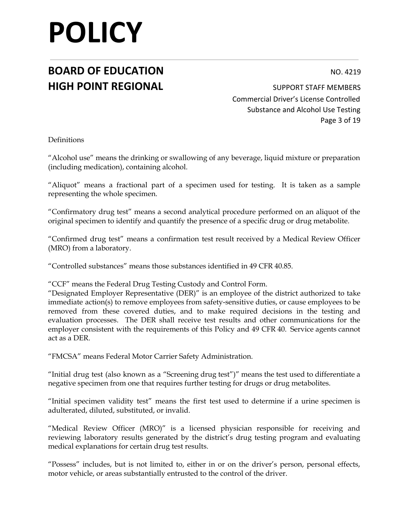## **BOARD OF EDUCATION** NO. 4219 **HIGH POINT REGIONAL** SUPPORT STAFF MEMBERS

Commercial Driver's License Controlled Substance and Alcohol Use Testing Page 3 of 19

Definitions

"Alcohol use" means the drinking or swallowing of any beverage, liquid mixture or preparation (including medication), containing alcohol.

"Aliquot" means a fractional part of a specimen used for testing. It is taken as a sample representing the whole specimen.

"Confirmatory drug test" means a second analytical procedure performed on an aliquot of the original specimen to identify and quantify the presence of a specific drug or drug metabolite.

"Confirmed drug test" means a confirmation test result received by a Medical Review Officer (MRO) from a laboratory.

"Controlled substances" means those substances identified in 49 CFR 40.85.

"CCF" means the Federal Drug Testing Custody and Control Form.

"Designated Employer Representative (DER)" is an employee of the district authorized to take immediate action(s) to remove employees from safety-sensitive duties, or cause employees to be removed from these covered duties, and to make required decisions in the testing and evaluation processes. The DER shall receive test results and other communications for the employer consistent with the requirements of this Policy and 49 CFR 40. Service agents cannot act as a DER.

"FMCSA" means Federal Motor Carrier Safety Administration.

"Initial drug test (also known as a "Screening drug test")" means the test used to differentiate a negative specimen from one that requires further testing for drugs or drug metabolites.

"Initial specimen validity test" means the first test used to determine if a urine specimen is adulterated, diluted, substituted, or invalid.

"Medical Review Officer (MRO)" is a licensed physician responsible for receiving and reviewing laboratory results generated by the district's drug testing program and evaluating medical explanations for certain drug test results.

"Possess" includes, but is not limited to, either in or on the driver's person, personal effects, motor vehicle, or areas substantially entrusted to the control of the driver.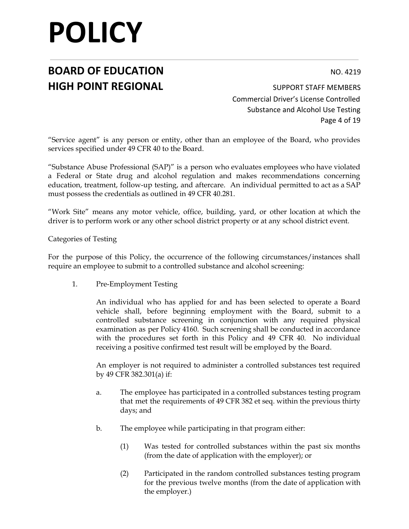## **BOARD OF EDUCATION** NO. 4219 **HIGH POINT REGIONAL** SUPPORT STAFF MEMBERS

Commercial Driver's License Controlled Substance and Alcohol Use Testing Page 4 of 19

"Service agent" is any person or entity, other than an employee of the Board, who provides services specified under 49 CFR 40 to the Board.

"Substance Abuse Professional (SAP)" is a person who evaluates employees who have violated a Federal or State drug and alcohol regulation and makes recommendations concerning education, treatment, follow-up testing, and aftercare. An individual permitted to act as a SAP must possess the credentials as outlined in 49 CFR 40.281.

"Work Site" means any motor vehicle, office, building, yard, or other location at which the driver is to perform work or any other school district property or at any school district event.

Categories of Testing

For the purpose of this Policy, the occurrence of the following circumstances/instances shall require an employee to submit to a controlled substance and alcohol screening:

1. Pre-Employment Testing

An individual who has applied for and has been selected to operate a Board vehicle shall, before beginning employment with the Board, submit to a controlled substance screening in conjunction with any required physical examination as per Policy 4160. Such screening shall be conducted in accordance with the procedures set forth in this Policy and 49 CFR 40. No individual receiving a positive confirmed test result will be employed by the Board.

An employer is not required to administer a controlled substances test required by 49 CFR 382.301(a) if:

- a. The employee has participated in a controlled substances testing program that met the requirements of 49 CFR 382 et seq. within the previous thirty days; and
- b. The employee while participating in that program either:
	- (1) Was tested for controlled substances within the past six months (from the date of application with the employer); or
	- (2) Participated in the random controlled substances testing program for the previous twelve months (from the date of application with the employer.)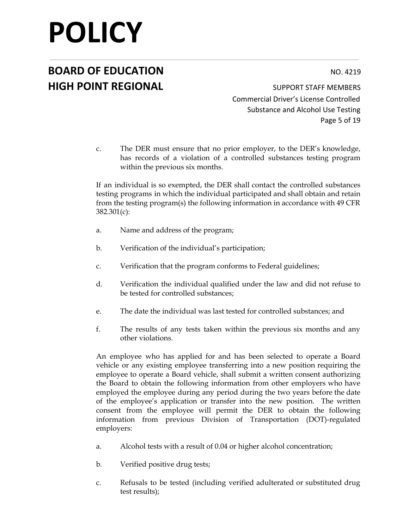## **BOARD OF EDUCATION** NO. 4219 **HIGH POINT REGIONAL** SUPPORT STAFF MEMBERS

Commercial Driver's License Controlled Substance and Alcohol Use Testing Page 5 of 19

c. The DER must ensure that no prior employer, to the DER's knowledge, has records of a violation of a controlled substances testing program within the previous six months.

If an individual is so exempted, the DER shall contact the controlled substances testing programs in which the individual participated and shall obtain and retain from the testing program(s) the following information in accordance with 49 CFR 382.301(c):

- a. Name and address of the program;
- b. Verification of the individual's participation;
- c. Verification that the program conforms to Federal guidelines;
- d. Verification the individual qualified under the law and did not refuse to be tested for controlled substances;
- e. The date the individual was last tested for controlled substances; and
- f. The results of any tests taken within the previous six months and any other violations.

An employee who has applied for and has been selected to operate a Board vehicle or any existing employee transferring into a new position requiring the employee to operate a Board vehicle, shall submit a written consent authorizing the Board to obtain the following information from other employers who have employed the employee during any period during the two years before the date of the employee's application or transfer into the new position. The written consent from the employee will permit the DER to obtain the following information from previous Division of Transportation (DOT)-regulated employers:

- a. Alcohol tests with a result of 0.04 or higher alcohol concentration;
- b. Verified positive drug tests;
- c. Refusals to be tested (including verified adulterated or substituted drug test results);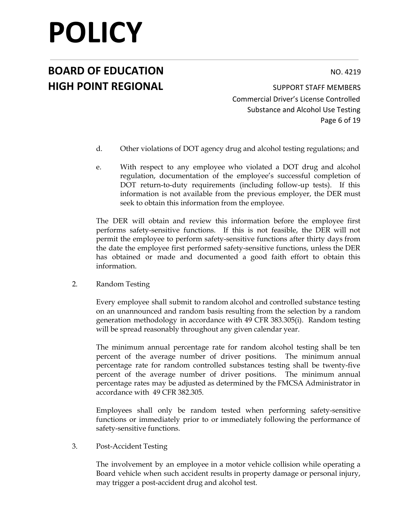## **BOARD OF EDUCATION** NO. 4219 **HIGH POINT REGIONAL** SUPPORT STAFF MEMBERS

Commercial Driver's License Controlled Substance and Alcohol Use Testing Page 6 of 19

- d. Other violations of DOT agency drug and alcohol testing regulations; and
- e. With respect to any employee who violated a DOT drug and alcohol regulation, documentation of the employee's successful completion of DOT return-to-duty requirements (including follow-up tests). If this information is not available from the previous employer, the DER must seek to obtain this information from the employee.

The DER will obtain and review this information before the employee first performs safety-sensitive functions. If this is not feasible, the DER will not permit the employee to perform safety-sensitive functions after thirty days from the date the employee first performed safety-sensitive functions, unless the DER has obtained or made and documented a good faith effort to obtain this information.

2. Random Testing

Every employee shall submit to random alcohol and controlled substance testing on an unannounced and random basis resulting from the selection by a random generation methodology in accordance with 49 CFR 383.305(i). Random testing will be spread reasonably throughout any given calendar year.

The minimum annual percentage rate for random alcohol testing shall be ten percent of the average number of driver positions. The minimum annual percentage rate for random controlled substances testing shall be twenty-five percent of the average number of driver positions. The minimum annual percentage rates may be adjusted as determined by the FMCSA Administrator in accordance with 49 CFR 382.305.

Employees shall only be random tested when performing safety-sensitive functions or immediately prior to or immediately following the performance of safety-sensitive functions.

3. Post-Accident Testing

The involvement by an employee in a motor vehicle collision while operating a Board vehicle when such accident results in property damage or personal injury, may trigger a post-accident drug and alcohol test.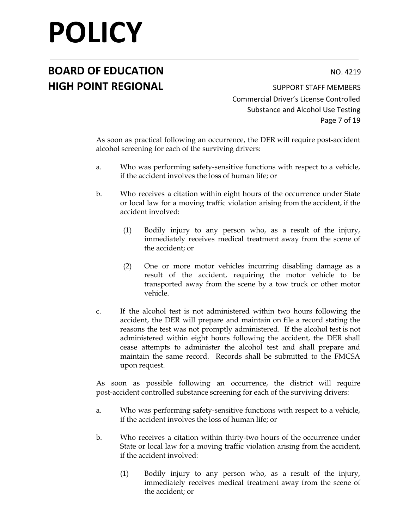## **BOARD OF EDUCATION** NO. 4219 **HIGH POINT REGIONAL** SUPPORT STAFF MEMBERS

Commercial Driver's License Controlled Substance and Alcohol Use Testing Page 7 of 19

As soon as practical following an occurrence, the DER will require post-accident alcohol screening for each of the surviving drivers:

- a. Who was performing safety-sensitive functions with respect to a vehicle, if the accident involves the loss of human life; or
- b. Who receives a citation within eight hours of the occurrence under State or local law for a moving traffic violation arising from the accident, if the accident involved:
	- (1) Bodily injury to any person who, as a result of the injury, immediately receives medical treatment away from the scene of the accident; or
	- (2) One or more motor vehicles incurring disabling damage as a result of the accident, requiring the motor vehicle to be transported away from the scene by a tow truck or other motor vehicle.
- c. If the alcohol test is not administered within two hours following the accident, the DER will prepare and maintain on file a record stating the reasons the test was not promptly administered. If the alcohol test is not administered within eight hours following the accident, the DER shall cease attempts to administer the alcohol test and shall prepare and maintain the same record. Records shall be submitted to the FMCSA upon request.

As soon as possible following an occurrence, the district will require post-accident controlled substance screening for each of the surviving drivers:

- a. Who was performing safety-sensitive functions with respect to a vehicle, if the accident involves the loss of human life; or
- b. Who receives a citation within thirty-two hours of the occurrence under State or local law for a moving traffic violation arising from the accident, if the accident involved:
	- (1) Bodily injury to any person who, as a result of the injury, immediately receives medical treatment away from the scene of the accident; or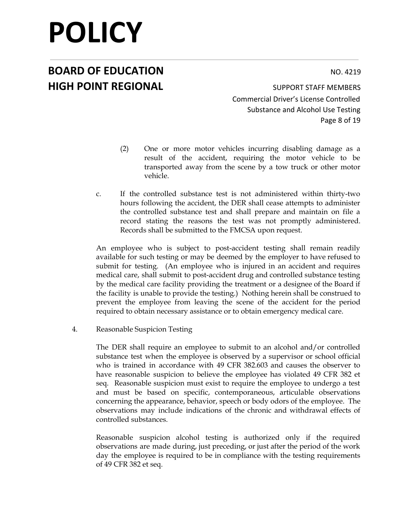## **BOARD OF EDUCATION** NO. 4219 **HIGH POINT REGIONAL** SUPPORT STAFF MEMBERS

Commercial Driver's License Controlled Substance and Alcohol Use Testing Page 8 of 19

- (2) One or more motor vehicles incurring disabling damage as a result of the accident, requiring the motor vehicle to be transported away from the scene by a tow truck or other motor vehicle.
- c. If the controlled substance test is not administered within thirty-two hours following the accident, the DER shall cease attempts to administer the controlled substance test and shall prepare and maintain on file a record stating the reasons the test was not promptly administered. Records shall be submitted to the FMCSA upon request.

An employee who is subject to post-accident testing shall remain readily available for such testing or may be deemed by the employer to have refused to submit for testing. (An employee who is injured in an accident and requires medical care, shall submit to post-accident drug and controlled substance testing by the medical care facility providing the treatment or a designee of the Board if the facility is unable to provide the testing.) Nothing herein shall be construed to prevent the employee from leaving the scene of the accident for the period required to obtain necessary assistance or to obtain emergency medical care.

4. Reasonable Suspicion Testing

The DER shall require an employee to submit to an alcohol and/or controlled substance test when the employee is observed by a supervisor or school official who is trained in accordance with 49 CFR 382.603 and causes the observer to have reasonable suspicion to believe the employee has violated 49 CFR 382 et seq. Reasonable suspicion must exist to require the employee to undergo a test and must be based on specific, contemporaneous, articulable observations concerning the appearance, behavior, speech or body odors of the employee. The observations may include indications of the chronic and withdrawal effects of controlled substances.

Reasonable suspicion alcohol testing is authorized only if the required observations are made during, just preceding, or just after the period of the work day the employee is required to be in compliance with the testing requirements of 49 CFR 382 et seq.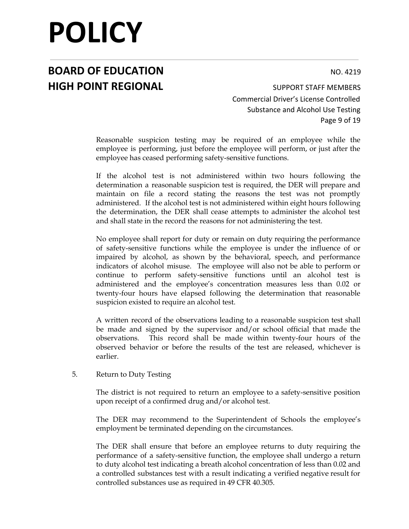## **BOARD OF EDUCATION** NO. 4219 **HIGH POINT REGIONAL** SUPPORT STAFF MEMBERS

Commercial Driver's License Controlled Substance and Alcohol Use Testing Page 9 of 19

Reasonable suspicion testing may be required of an employee while the employee is performing, just before the employee will perform, or just after the employee has ceased performing safety-sensitive functions.

If the alcohol test is not administered within two hours following the determination a reasonable suspicion test is required, the DER will prepare and maintain on file a record stating the reasons the test was not promptly administered. If the alcohol test is not administered within eight hours following the determination, the DER shall cease attempts to administer the alcohol test and shall state in the record the reasons for not administering the test.

No employee shall report for duty or remain on duty requiring the performance of safety-sensitive functions while the employee is under the influence of or impaired by alcohol, as shown by the behavioral, speech, and performance indicators of alcohol misuse. The employee will also not be able to perform or continue to perform safety-sensitive functions until an alcohol test is administered and the employee's concentration measures less than 0.02 or twenty-four hours have elapsed following the determination that reasonable suspicion existed to require an alcohol test.

A written record of the observations leading to a reasonable suspicion test shall be made and signed by the supervisor and/or school official that made the observations. This record shall be made within twenty-four hours of the observed behavior or before the results of the test are released, whichever is earlier.

#### 5. Return to Duty Testing

The district is not required to return an employee to a safety-sensitive position upon receipt of a confirmed drug and/or alcohol test.

The DER may recommend to the Superintendent of Schools the employee's employment be terminated depending on the circumstances.

The DER shall ensure that before an employee returns to duty requiring the performance of a safety-sensitive function, the employee shall undergo a return to duty alcohol test indicating a breath alcohol concentration of less than 0.02 and a controlled substances test with a result indicating a verified negative result for controlled substances use as required in 49 CFR 40.305.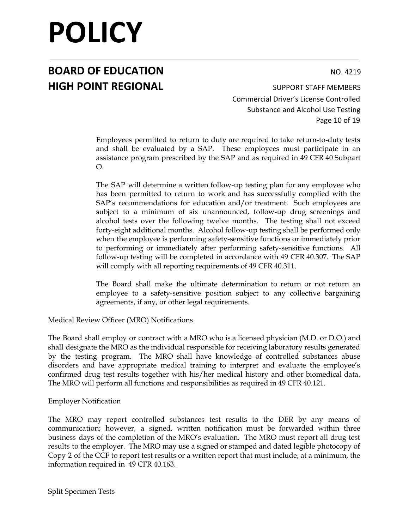## **BOARD OF EDUCATION** NO. 4219 **HIGH POINT REGIONAL** SUPPORT STAFF MEMBERS

Commercial Driver's License Controlled Substance and Alcohol Use Testing Page 10 of 19

Employees permitted to return to duty are required to take return-to-duty tests and shall be evaluated by a SAP. These employees must participate in an assistance program prescribed by the SAP and as required in 49 CFR 40 Subpart O.

The SAP will determine a written follow-up testing plan for any employee who has been permitted to return to work and has successfully complied with the SAP's recommendations for education and/or treatment. Such employees are subject to a minimum of six unannounced, follow-up drug screenings and alcohol tests over the following twelve months. The testing shall not exceed forty-eight additional months. Alcohol follow-up testing shall be performed only when the employee is performing safety-sensitive functions or immediately prior to performing or immediately after performing safety-sensitive functions. All follow-up testing will be completed in accordance with 49 CFR 40.307. The SAP will comply with all reporting requirements of 49 CFR 40.311.

The Board shall make the ultimate determination to return or not return an employee to a safety-sensitive position subject to any collective bargaining agreements, if any, or other legal requirements.

Medical Review Officer (MRO) Notifications

The Board shall employ or contract with a MRO who is a licensed physician (M.D. or D.O.) and shall designate the MRO as the individual responsible for receiving laboratory results generated by the testing program. The MRO shall have knowledge of controlled substances abuse disorders and have appropriate medical training to interpret and evaluate the employee's confirmed drug test results together with his/her medical history and other biomedical data. The MRO will perform all functions and responsibilities as required in 49 CFR 40.121.

#### Employer Notification

The MRO may report controlled substances test results to the DER by any means of communication; however, a signed, written notification must be forwarded within three business days of the completion of the MRO's evaluation. The MRO must report all drug test results to the employer. The MRO may use a signed or stamped and dated legible photocopy of Copy 2 of the CCF to report test results or a written report that must include, at a minimum, the information required in 49 CFR 40.163.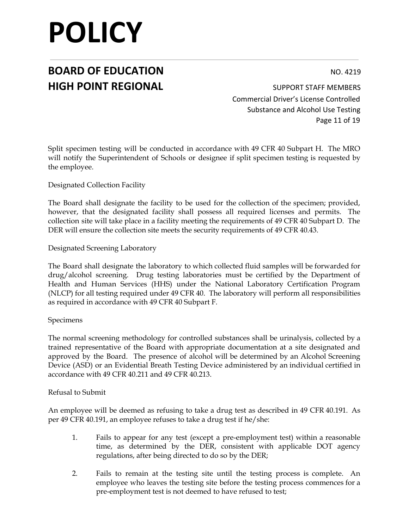## **BOARD OF EDUCATION** NO. 4219 **HIGH POINT REGIONAL** SUPPORT STAFF MEMBERS

Commercial Driver's License Controlled Substance and Alcohol Use Testing Page 11 of 19

Split specimen testing will be conducted in accordance with 49 CFR 40 Subpart H. The MRO will notify the Superintendent of Schools or designee if split specimen testing is requested by the employee.

Designated Collection Facility

The Board shall designate the facility to be used for the collection of the specimen; provided, however, that the designated facility shall possess all required licenses and permits. The collection site will take place in a facility meeting the requirements of 49 CFR 40 Subpart D. The DER will ensure the collection site meets the security requirements of 49 CFR 40.43.

Designated Screening Laboratory

The Board shall designate the laboratory to which collected fluid samples will be forwarded for drug/alcohol screening. Drug testing laboratories must be certified by the Department of Health and Human Services (HHS) under the National Laboratory Certification Program (NLCP) for all testing required under 49 CFR 40. The laboratory will perform all responsibilities as required in accordance with 49 CFR 40 Subpart F.

#### Specimens

The normal screening methodology for controlled substances shall be urinalysis, collected by a trained representative of the Board with appropriate documentation at a site designated and approved by the Board. The presence of alcohol will be determined by an Alcohol Screening Device (ASD) or an Evidential Breath Testing Device administered by an individual certified in accordance with 49 CFR 40.211 and 49 CFR 40.213.

#### Refusal to Submit

An employee will be deemed as refusing to take a drug test as described in 49 CFR 40.191. As per 49 CFR 40.191, an employee refuses to take a drug test if he/she:

- 1. Fails to appear for any test (except a pre-employment test) within a reasonable time, as determined by the DER, consistent with applicable DOT agency regulations, after being directed to do so by the DER;
- 2. Fails to remain at the testing site until the testing process is complete. An employee who leaves the testing site before the testing process commences for a pre-employment test is not deemed to have refused to test;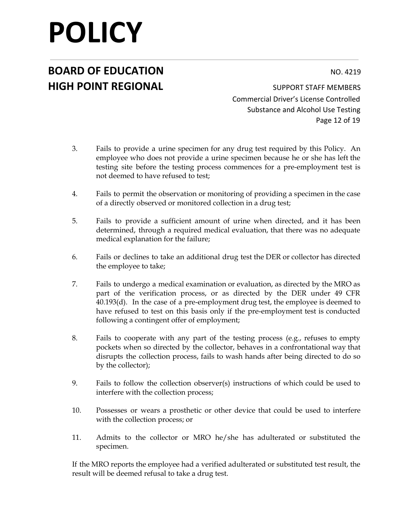## **BOARD OF EDUCATION** NO. 4219 **HIGH POINT REGIONAL** SUPPORT STAFF MEMBERS

Commercial Driver's License Controlled Substance and Alcohol Use Testing Page 12 of 19

- 3. Fails to provide a urine specimen for any drug test required by this Policy. An employee who does not provide a urine specimen because he or she has left the testing site before the testing process commences for a pre-employment test is not deemed to have refused to test;
- 4. Fails to permit the observation or monitoring of providing a specimen in the case of a directly observed or monitored collection in a drug test;
- 5. Fails to provide a sufficient amount of urine when directed, and it has been determined, through a required medical evaluation, that there was no adequate medical explanation for the failure;
- 6. Fails or declines to take an additional drug test the DER or collector has directed the employee to take;
- 7. Fails to undergo a medical examination or evaluation, as directed by the MRO as part of the verification process, or as directed by the DER under 49 CFR 40.193(d). In the case of a pre-employment drug test, the employee is deemed to have refused to test on this basis only if the pre-employment test is conducted following a contingent offer of employment;
- 8. Fails to cooperate with any part of the testing process (e.g., refuses to empty pockets when so directed by the collector, behaves in a confrontational way that disrupts the collection process, fails to wash hands after being directed to do so by the collector);
- 9. Fails to follow the collection observer(s) instructions of which could be used to interfere with the collection process;
- 10. Possesses or wears a prosthetic or other device that could be used to interfere with the collection process; or
- 11. Admits to the collector or MRO he/she has adulterated or substituted the specimen.

If the MRO reports the employee had a verified adulterated or substituted test result, the result will be deemed refusal to take a drug test.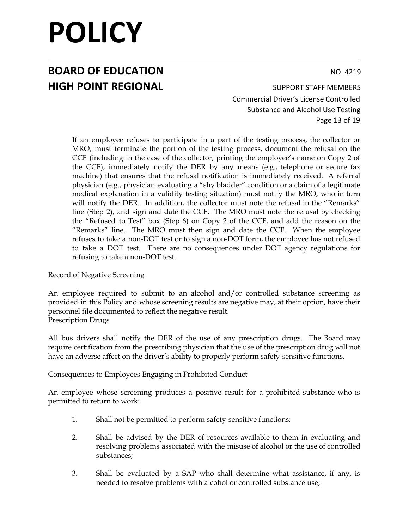## **BOARD OF EDUCATION** NO. 4219 **HIGH POINT REGIONAL** SUPPORT STAFF MEMBERS

Commercial Driver's License Controlled Substance and Alcohol Use Testing Page 13 of 19

If an employee refuses to participate in a part of the testing process, the collector or MRO, must terminate the portion of the testing process, document the refusal on the CCF (including in the case of the collector, printing the employee's name on Copy 2 of the CCF), immediately notify the DER by any means (e.g., telephone or secure fax machine) that ensures that the refusal notification is immediately received. A referral physician (e.g., physician evaluating a "shy bladder" condition or a claim of a legitimate medical explanation in a validity testing situation) must notify the MRO, who in turn will notify the DER. In addition, the collector must note the refusal in the "Remarks" line (Step 2), and sign and date the CCF. The MRO must note the refusal by checking the "Refused to Test" box (Step 6) on Copy 2 of the CCF, and add the reason on the "Remarks" line. The MRO must then sign and date the CCF. When the employee refuses to take a non-DOT test or to sign a non-DOT form, the employee has not refused to take a DOT test. There are no consequences under DOT agency regulations for refusing to take a non-DOT test.

Record of Negative Screening

An employee required to submit to an alcohol and/or controlled substance screening as provided in this Policy and whose screening results are negative may, at their option, have their personnel file documented to reflect the negative result. Prescription Drugs

All bus drivers shall notify the DER of the use of any prescription drugs. The Board may require certification from the prescribing physician that the use of the prescription drug will not have an adverse affect on the driver's ability to properly perform safety-sensitive functions.

Consequences to Employees Engaging in Prohibited Conduct

An employee whose screening produces a positive result for a prohibited substance who is permitted to return to work:

- 1. Shall not be permitted to perform safety-sensitive functions;
- 2. Shall be advised by the DER of resources available to them in evaluating and resolving problems associated with the misuse of alcohol or the use of controlled substances;
- 3. Shall be evaluated by a SAP who shall determine what assistance, if any, is needed to resolve problems with alcohol or controlled substance use;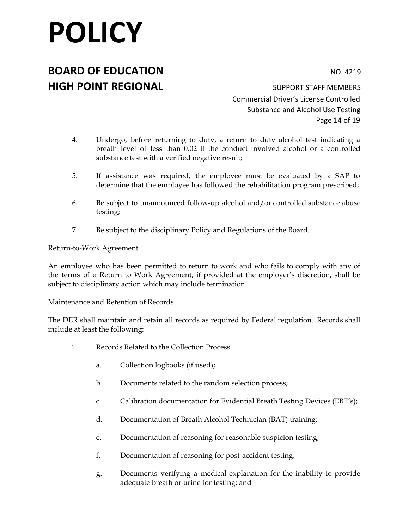## **BOARD OF EDUCATION** NO. 4219 **HIGH POINT REGIONAL** SUPPORT STAFF MEMBERS

Commercial Driver's License Controlled Substance and Alcohol Use Testing Page 14 of 19

- 4. Undergo, before returning to duty, a return to duty alcohol test indicating a breath level of less than 0.02 if the conduct involved alcohol or a controlled substance test with a verified negative result;
- 5. If assistance was required, the employee must be evaluated by a SAP to determine that the employee has followed the rehabilitation program prescribed;
- 6. Be subject to unannounced follow-up alcohol and/or controlled substance abuse testing;
- 7. Be subject to the disciplinary Policy and Regulations of the Board.

#### Return-to-Work Agreement

An employee who has been permitted to return to work and who fails to comply with any of the terms of a Return to Work Agreement, if provided at the employer's discretion, shall be subject to disciplinary action which may include termination.

Maintenance and Retention of Records

The DER shall maintain and retain all records as required by Federal regulation. Records shall include at least the following:

- 1. Records Related to the Collection Process
	- a. Collection logbooks (if used);
	- b. Documents related to the random selection process;
	- c. Calibration documentation for Evidential Breath Testing Devices (EBT's);
	- d. Documentation of Breath Alcohol Technician (BAT) training;
	- e. Documentation of reasoning for reasonable suspicion testing;
	- f. Documentation of reasoning for post-accident testing;
	- g. Documents verifying a medical explanation for the inability to provide adequate breath or urine for testing; and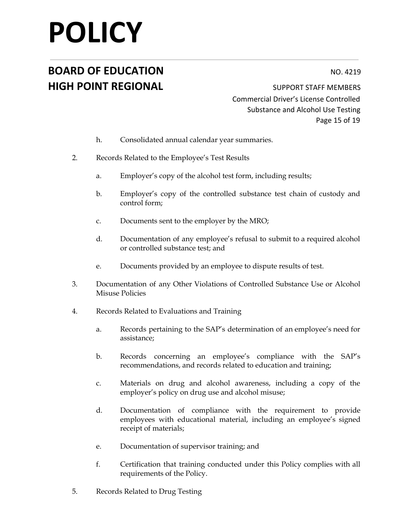## **BOARD OF EDUCATION** NO. 4219 **HIGH POINT REGIONAL** SUPPORT STAFF MEMBERS

Commercial Driver's License Controlled Substance and Alcohol Use Testing Page 15 of 19

- h. Consolidated annual calendar year summaries.
- 2. Records Related to the Employee's Test Results
	- a. Employer's copy of the alcohol test form, including results;
	- b. Employer's copy of the controlled substance test chain of custody and control form;
	- c. Documents sent to the employer by the MRO;
	- d. Documentation of any employee's refusal to submit to a required alcohol or controlled substance test; and
	- e. Documents provided by an employee to dispute results of test.
- 3. Documentation of any Other Violations of Controlled Substance Use or Alcohol Misuse Policies
- 4. Records Related to Evaluations and Training
	- a. Records pertaining to the SAP's determination of an employee's need for assistance;
	- b. Records concerning an employee's compliance with the SAP's recommendations, and records related to education and training;
	- c. Materials on drug and alcohol awareness, including a copy of the employer's policy on drug use and alcohol misuse;
	- d. Documentation of compliance with the requirement to provide employees with educational material, including an employee's signed receipt of materials;
	- e. Documentation of supervisor training; and
	- f. Certification that training conducted under this Policy complies with all requirements of the Policy.
- 5. Records Related to Drug Testing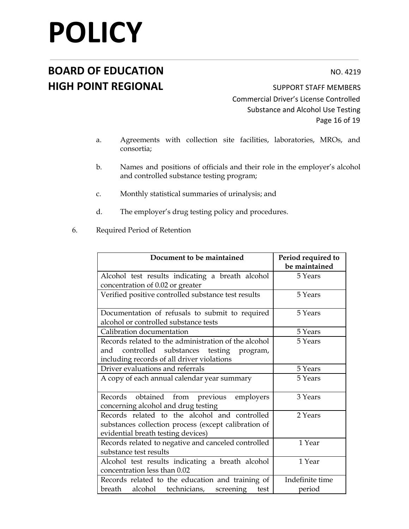### **BOARD OF EDUCATION** NO. 4219 **HIGH POINT REGIONAL** SUPPORT STAFF MEMBERS

Commercial Driver's License Controlled Substance and Alcohol Use Testing Page 16 of 19

- a. Agreements with collection site facilities, laboratories, MROs, and consortia;
- b. Names and positions of officials and their role in the employer's alcohol and controlled substance testing program;
- c. Monthly statistical summaries of urinalysis; and
- d. The employer's drug testing policy and procedures.
- 6. Required Period of Retention

| Document to be maintained                            | Period required to |
|------------------------------------------------------|--------------------|
|                                                      | be maintained      |
| Alcohol test results indicating a breath alcohol     | 5 Years            |
| concentration of 0.02 or greater                     |                    |
| Verified positive controlled substance test results  | 5 Years            |
|                                                      |                    |
| Documentation of refusals to submit to required      | 5 Years            |
| alcohol or controlled substance tests                |                    |
| Calibration documentation                            | 5 Years            |
| Records related to the administration of the alcohol | 5 Years            |
| and controlled substances testing<br>program,        |                    |
| including records of all driver violations           |                    |
| Driver evaluations and referrals                     | 5 Years            |
| A copy of each annual calendar year summary          | 5 Years            |
|                                                      |                    |
| Records obtained from previous<br>employers          | 3 Years            |
| concerning alcohol and drug testing                  |                    |
| Records related to the alcohol and controlled        | 2 Years            |
| substances collection process (except calibration of |                    |
| evidential breath testing devices)                   |                    |
| Records related to negative and canceled controlled  | 1 Year             |
| substance test results                               |                    |
| Alcohol test results indicating a breath alcohol     | 1 Year             |
| concentration less than 0.02                         |                    |
| Records related to the education and training of     | Indefinite time    |
| breath alcohol technicians, screening<br>test        | period             |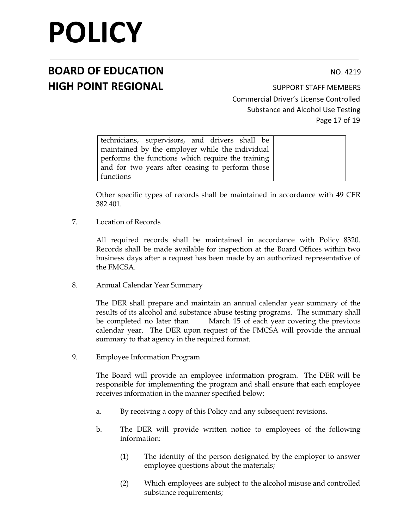## **BOARD OF EDUCATION** NO. 4219 **HIGH POINT REGIONAL** SUPPORT STAFF MEMBERS

Commercial Driver's License Controlled Substance and Alcohol Use Testing Page 17 of 19

| technicians, supervisors, and drivers shall be    |  |
|---------------------------------------------------|--|
| maintained by the employer while the individual   |  |
| performs the functions which require the training |  |
| and for two years after ceasing to perform those  |  |
| functions                                         |  |

Other specific types of records shall be maintained in accordance with 49 CFR 382.401.

7. Location of Records

All required records shall be maintained in accordance with Policy 8320. Records shall be made available for inspection at the Board Offices within two business days after a request has been made by an authorized representative of the FMCSA.

8. Annual Calendar Year Summary

The DER shall prepare and maintain an annual calendar year summary of the results of its alcohol and substance abuse testing programs. The summary shall be completed no later than March 15 of each year covering the previous calendar year. The DER upon request of the FMCSA will provide the annual summary to that agency in the required format.

9. Employee Information Program

The Board will provide an employee information program. The DER will be responsible for implementing the program and shall ensure that each employee receives information in the manner specified below:

- a. By receiving a copy of this Policy and any subsequent revisions.
- b. The DER will provide written notice to employees of the following information:
	- (1) The identity of the person designated by the employer to answer employee questions about the materials;
	- (2) Which employees are subject to the alcohol misuse and controlled substance requirements;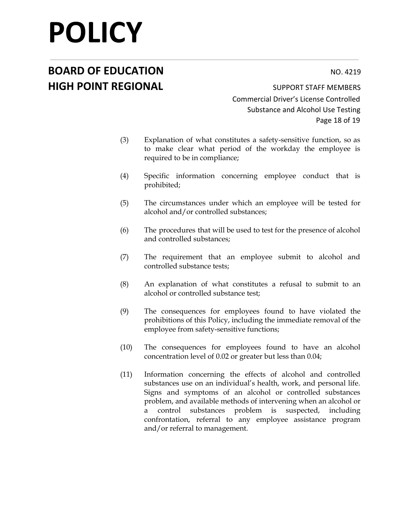## **BOARD OF EDUCATION** NO. 4219 **HIGH POINT REGIONAL** SUPPORT STAFF MEMBERS

Commercial Driver's License Controlled Substance and Alcohol Use Testing Page 18 of 19

- (3) Explanation of what constitutes a safety-sensitive function, so as to make clear what period of the workday the employee is required to be in compliance;
- (4) Specific information concerning employee conduct that is prohibited;
- (5) The circumstances under which an employee will be tested for alcohol and/or controlled substances;
- (6) The procedures that will be used to test for the presence of alcohol and controlled substances;
- (7) The requirement that an employee submit to alcohol and controlled substance tests;
- (8) An explanation of what constitutes a refusal to submit to an alcohol or controlled substance test;
- (9) The consequences for employees found to have violated the prohibitions of this Policy, including the immediate removal of the employee from safety-sensitive functions;
- (10) The consequences for employees found to have an alcohol concentration level of 0.02 or greater but less than 0.04;
- (11) Information concerning the effects of alcohol and controlled substances use on an individual's health, work, and personal life. Signs and symptoms of an alcohol or controlled substances problem, and available methods of intervening when an alcohol or a control substances problem is suspected, including confrontation, referral to any employee assistance program and/or referral to management.